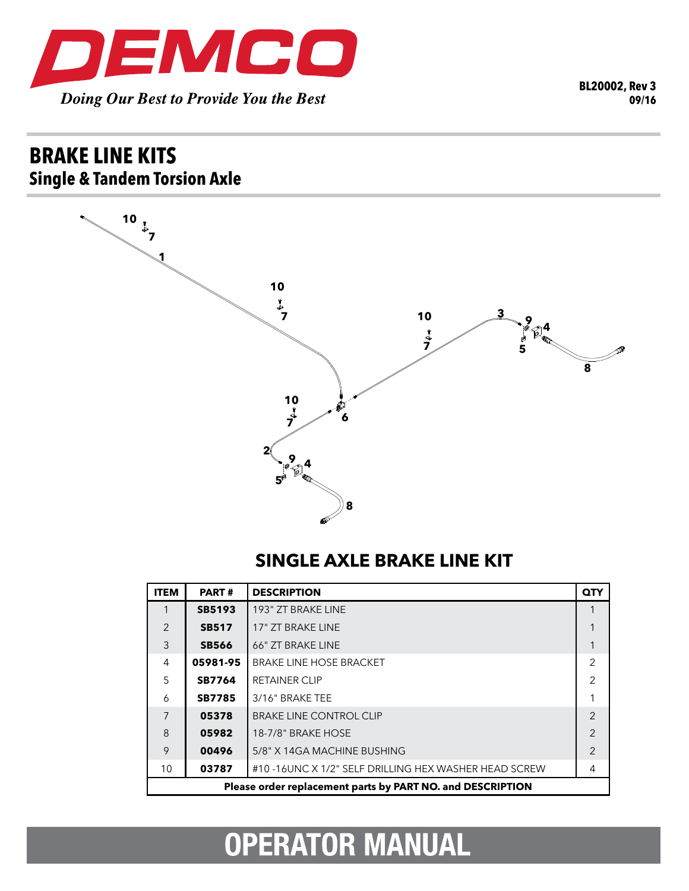

## **brake line kits Single & Tandem Torsion Axle**



## **SINGLE AXLE BRAKE LINE KIT**

| <b>ITEM</b>                                                | <b>PART#</b>  | <b>DESCRIPTION</b>                                   | QTY            |  |
|------------------------------------------------------------|---------------|------------------------------------------------------|----------------|--|
|                                                            | <b>SB5193</b> | 193" ZT BRAKE LINE                                   |                |  |
| $\mathcal{P}$                                              | <b>SB517</b>  | 17" ZT BRAKE LINE                                    |                |  |
| 3                                                          | <b>SB566</b>  | 66" ZT BRAKE LINE                                    |                |  |
| 4                                                          | 05981-95      | <b>BRAKE LINE HOSE BRACKET</b>                       | $\overline{2}$ |  |
| 5                                                          | <b>SB7764</b> | <b>RETAINER CLIP</b>                                 | 2              |  |
| 6                                                          | <b>SB7785</b> | 3/16" BRAKE TEE                                      |                |  |
| $\overline{7}$                                             | 05378         | <b>BRAKE LINE CONTROL CLIP</b>                       | $\mathcal{P}$  |  |
| 8                                                          | 05982         | 18-7/8" BRAKE HOSE                                   | $\mathfrak{D}$ |  |
| 9                                                          | 00496         | 5/8" X 14GA MACHINE BUSHING                          | $\overline{2}$ |  |
| 10                                                         | 03787         | #10-16UNC X 1/2" SELF DRILLING HEX WASHER HEAD SCREW | 4              |  |
| Please order replacement parts by PART NO. and DESCRIPTION |               |                                                      |                |  |

## **OPERATOR MANUAL**